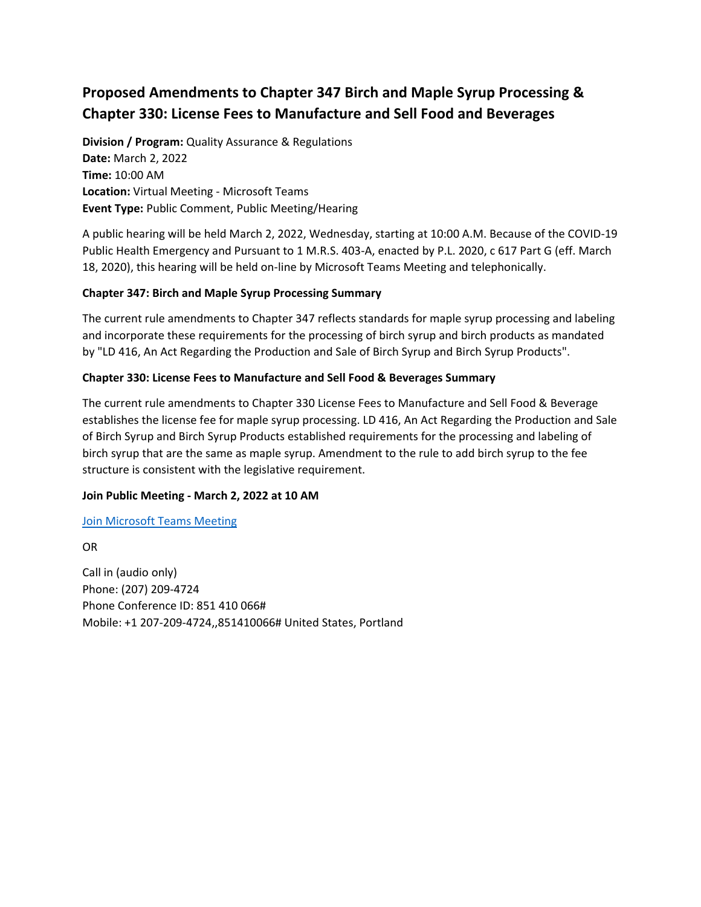# **Proposed Amendments to Chapter 347 Birch and Maple Syrup Processing & Chapter 330: License Fees to Manufacture and Sell Food and Beverages**

**Division / Program:** Quality Assurance & Regulations **Date:** March 2, 2022 **Time:** 10:00 AM **Location:** Virtual Meeting - Microsoft Teams **Event Type:** Public Comment, Public Meeting/Hearing

A public hearing will be held March 2, 2022, Wednesday, starting at 10:00 A.M. Because of the COVID-19 Public Health Emergency and Pursuant to 1 M.R.S. 403-A, enacted by P.L. 2020, c 617 Part G (eff. March 18, 2020), this hearing will be held on-line by Microsoft Teams Meeting and telephonically.

## **Chapter 347: Birch and Maple Syrup Processing Summary**

The current rule amendments to Chapter 347 reflects standards for maple syrup processing and labeling and incorporate these requirements for the processing of birch syrup and birch products as mandated by "LD 416, An Act Regarding the Production and Sale of Birch Syrup and Birch Syrup Products".

## **Chapter 330: License Fees to Manufacture and Sell Food & Beverages Summary**

The current rule amendments to Chapter 330 License Fees to Manufacture and Sell Food & Beverage establishes the license fee for maple syrup processing. LD 416, An Act Regarding the Production and Sale of Birch Syrup and Birch Syrup Products established requirements for the processing and labeling of birch syrup that are the same as maple syrup. Amendment to the rule to add birch syrup to the fee structure is consistent with the legislative requirement.

#### **Join Public Meeting - March 2, 2022 at 10 AM**

#### [Join Microsoft Teams Meeting](https://teams.microsoft.com/l/meetup-join/19%3ameeting_NTkxOGZiYzMtOTJjZC00ZjIwLTkxY2UtNGZhYzc3MDYzOTdl%40thread.v2/0?context=%7b%22Tid%22%3a%22413fa8ab-207d-4b62-9bcd-ea1a8f2f864e%22%2c%22Oid%22%3a%225fe2d204-b138-4b1c-b53b-88ddd78bfba8%22%7d)

OR

Call in (audio only) Phone: (207) 209-4724 Phone Conference ID: 851 410 066# Mobile: +1 207-209-4724,,851410066# United States, Portland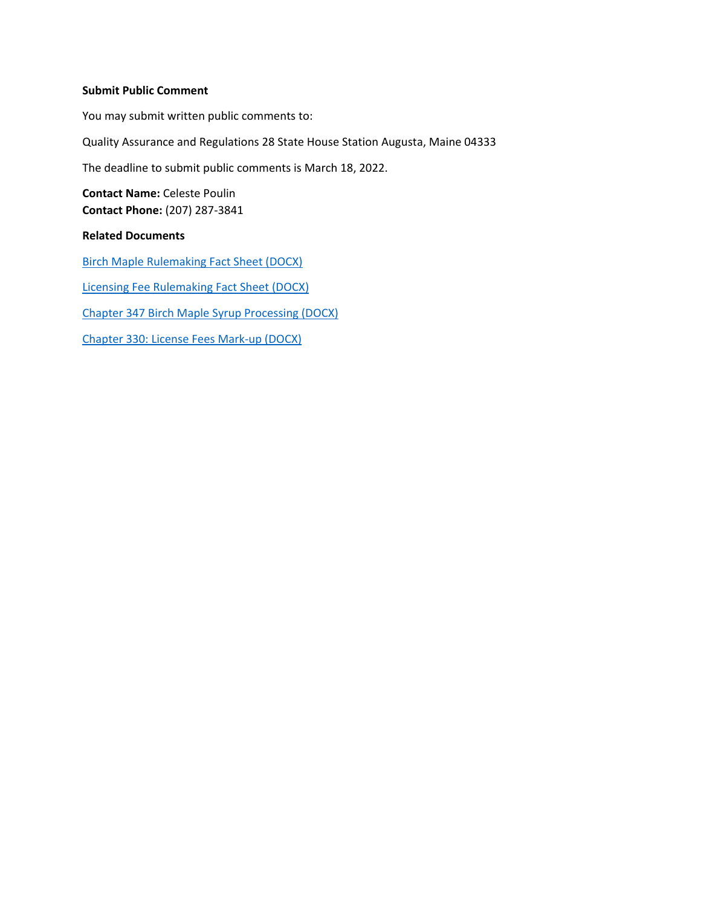#### **Submit Public Comment**

You may submit written public comments to: Quality Assurance and Regulations 28 State House Station Augusta, Maine 04333 The deadline to submit public comments is March 18, 2022. **Contact Name:** Celeste Poulin **Contact Phone:** (207) 287-3841 **Related Documents** [Birch Maple Rulemaking Fact Sheet \(DOCX\)](https://www.maine.gov/tools/whatsnew/attach.php?id=6721145&an=1) [Licensing Fee Rulemaking Fact Sheet \(DOCX\)](https://www.maine.gov/tools/whatsnew/attach.php?id=6721145&an=2)

[Chapter 347 Birch Maple Syrup Processing \(DOCX\)](https://www.maine.gov/tools/whatsnew/attach.php?id=6721145&an=3)

[Chapter 330: License Fees Mark-up \(DOCX\)](https://www.maine.gov/tools/whatsnew/attach.php?id=6721145&an=4)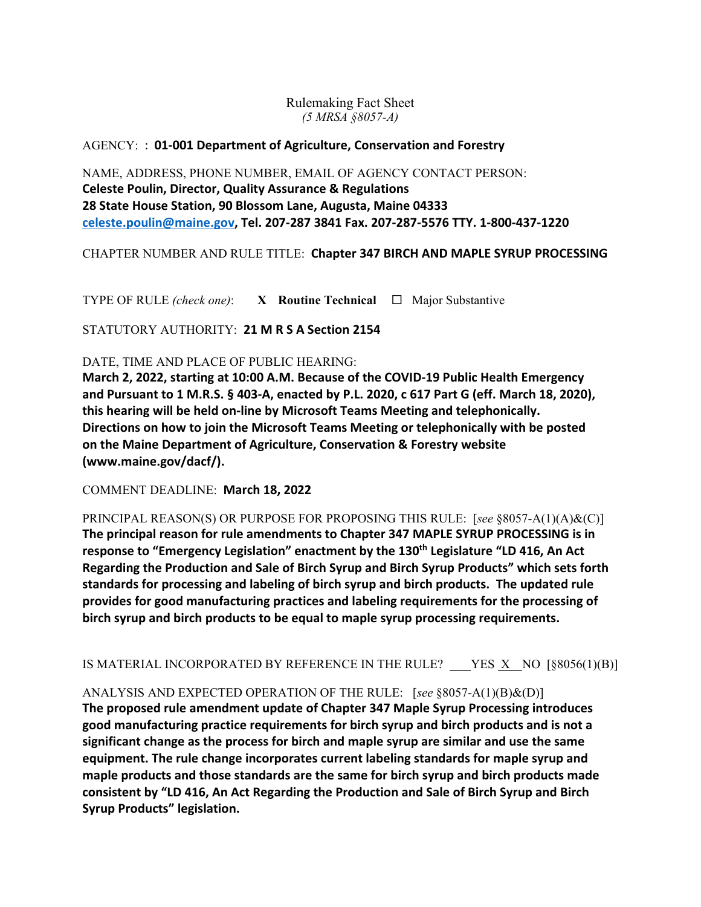Rulemaking Fact Sheet *(5 MRSA §8057-A)*

## AGENCY: : **01-001 Department of Agriculture, Conservation and Forestry**

NAME, ADDRESS, PHONE NUMBER, EMAIL OF AGENCY CONTACT PERSON: **Celeste Poulin, Director, Quality Assurance & Regulations 28 State House Station, 90 Blossom Lane, Augusta, Maine 04333 celeste.poulin@maine.gov, Tel. 207-287 3841 Fax. 207-287-5576 TTY. 1-800-437-1220**

CHAPTER NUMBER AND RULE TITLE: **Chapter 347 BIRCH AND MAPLE SYRUP PROCESSING**

TYPE OF RULE *(check one)*: **X Routine Technical** Major Substantive

STATUTORY AUTHORITY: **21 M R S A Section 2154**

DATE, TIME AND PLACE OF PUBLIC HEARING:

**March 2, 2022, starting at 10:00 A.M. Because of the COVID-19 Public Health Emergency and Pursuant to 1 M.R.S. § 403-A, enacted by P.L. 2020, c 617 Part G (eff. March 18, 2020), this hearing will be held on-line by Microsoft Teams Meeting and telephonically. Directions on how to join the Microsoft Teams Meeting or telephonically with be posted on the Maine Department of Agriculture, Conservation & Forestry website (www.maine.gov/dacf/).**

COMMENT DEADLINE: **March 18, 2022**

PRINCIPAL REASON(S) OR PURPOSE FOR PROPOSING THIS RULE: [*see* §8057-A(1)(A)&(C)] **The principal reason for rule amendments to Chapter 347 MAPLE SYRUP PROCESSING is in response to "Emergency Legislation" enactment by the 130th Legislature "LD 416, An Act Regarding the Production and Sale of Birch Syrup and Birch Syrup Products" which sets forth standards for processing and labeling of birch syrup and birch products. The updated rule provides for good manufacturing practices and labeling requirements for the processing of birch syrup and birch products to be equal to maple syrup processing requirements.** 

IS MATERIAL INCORPORATED BY REFERENCE IN THE RULE? YES X NO [§8056(1)(B)]

ANALYSIS AND EXPECTED OPERATION OF THE RULE: [*see* §8057-A(1)(B)&(D)]

**The proposed rule amendment update of Chapter 347 Maple Syrup Processing introduces good manufacturing practice requirements for birch syrup and birch products and is not a significant change as the process for birch and maple syrup are similar and use the same equipment. The rule change incorporates current labeling standards for maple syrup and maple products and those standards are the same for birch syrup and birch products made consistent by "LD 416, An Act Regarding the Production and Sale of Birch Syrup and Birch Syrup Products" legislation.**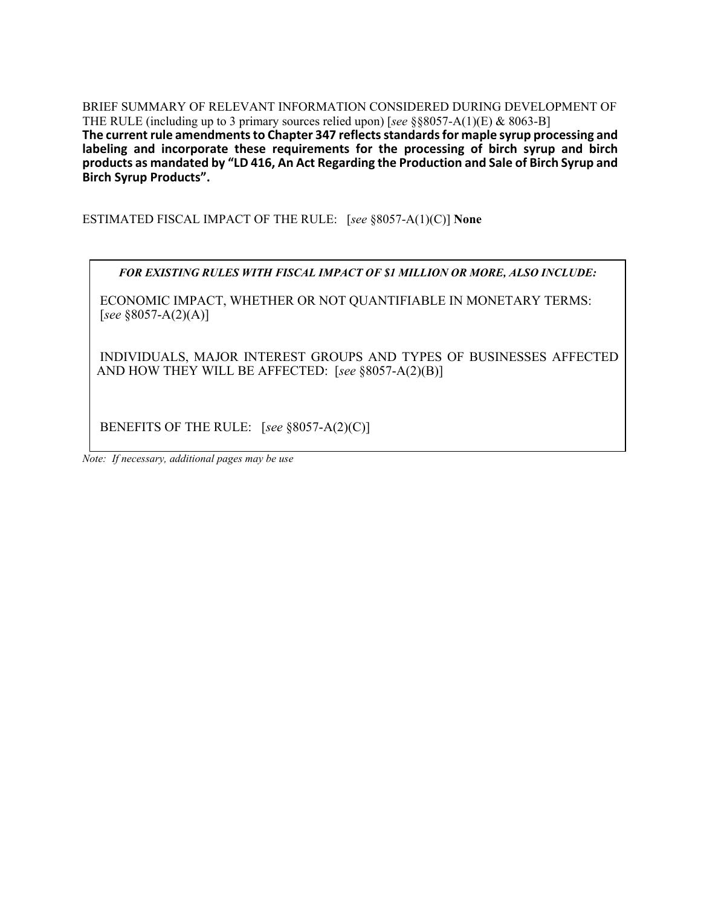BRIEF SUMMARY OF RELEVANT INFORMATION CONSIDERED DURING DEVELOPMENT OF THE RULE (including up to 3 primary sources relied upon) [*see* §§8057-A(1)(E) & 8063-B] **The current rule amendments to Chapter 347 reflects standards for maple syrup processing and labeling and incorporate these requirements for the processing of birch syrup and birch products as mandated by "LD 416, An Act Regarding the Production and Sale of Birch Syrup and Birch Syrup Products".** 

ESTIMATED FISCAL IMPACT OF THE RULE: [*see* §8057-A(1)(C)] **None**

*FOR EXISTING RULES WITH FISCAL IMPACT OF \$1 MILLION OR MORE, ALSO INCLUDE:*

ECONOMIC IMPACT, WHETHER OR NOT QUANTIFIABLE IN MONETARY TERMS: [*see* §8057-A(2)(A)]

INDIVIDUALS, MAJOR INTEREST GROUPS AND TYPES OF BUSINESSES AFFECTED AND HOW THEY WILL BE AFFECTED: [*see* §8057-A(2)(B)]

BENEFITS OF THE RULE: [*see* §8057-A(2)(C)]

*Note: If necessary, additional pages may be use*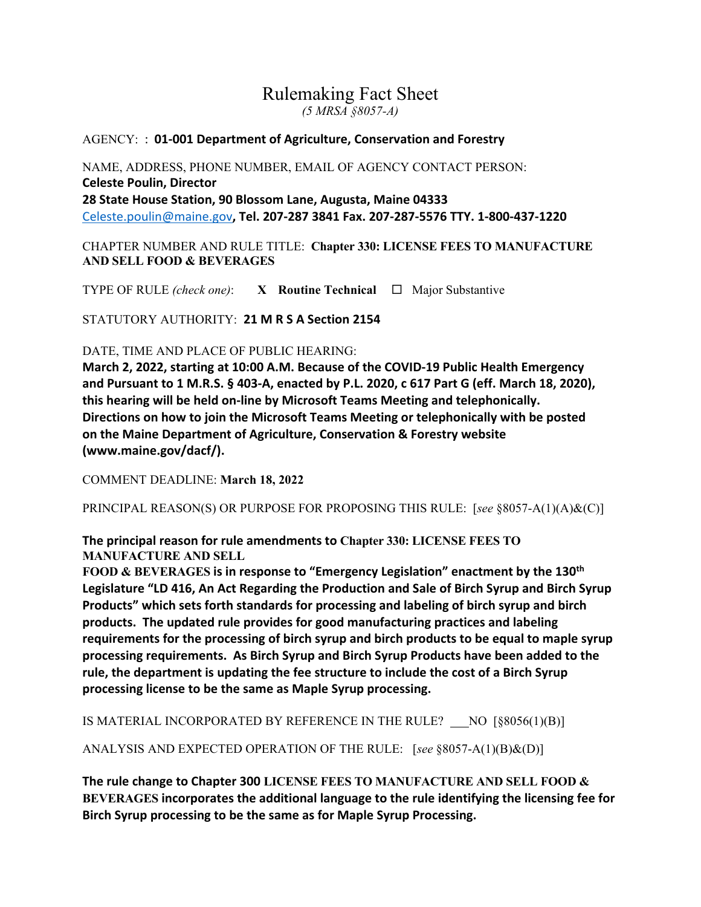## Rulemaking Fact Sheet *(5 MRSA §8057-A)*

## AGENCY: : **01-001 Department of Agriculture, Conservation and Forestry**

NAME, ADDRESS, PHONE NUMBER, EMAIL OF AGENCY CONTACT PERSON: **Celeste Poulin, Director 28 State House Station, 90 Blossom Lane, Augusta, Maine 04333**  [Celeste.poulin@maine.gov](mailto:Celeste.poulin@maine.gov)**, Tel. 207-287 3841 Fax. 207-287-5576 TTY. 1-800-437-1220**

CHAPTER NUMBER AND RULE TITLE: **Chapter 330: LICENSE FEES TO MANUFACTURE AND SELL FOOD & BEVERAGES**

TYPE OF RULE *(check one)*: **X Routine Technical**  $\Box$  Major Substantive

STATUTORY AUTHORITY: **21 M R S A Section 2154**

#### DATE, TIME AND PLACE OF PUBLIC HEARING:

**March 2, 2022, starting at 10:00 A.M. Because of the COVID-19 Public Health Emergency and Pursuant to 1 M.R.S. § 403-A, enacted by P.L. 2020, c 617 Part G (eff. March 18, 2020), this hearing will be held on-line by Microsoft Teams Meeting and telephonically. Directions on how to join the Microsoft Teams Meeting or telephonically with be posted on the Maine Department of Agriculture, Conservation & Forestry website (www.maine.gov/dacf/).**

COMMENT DEADLINE: **March 18, 2022**

PRINCIPAL REASON(S) OR PURPOSE FOR PROPOSING THIS RULE: [*see* §8057-A(1)(A)&(C)]

**The principal reason for rule amendments to Chapter 330: LICENSE FEES TO MANUFACTURE AND SELL**

**FOOD & BEVERAGES is in response to "Emergency Legislation" enactment by the 130th Legislature "LD 416, An Act Regarding the Production and Sale of Birch Syrup and Birch Syrup Products" which sets forth standards for processing and labeling of birch syrup and birch products. The updated rule provides for good manufacturing practices and labeling requirements for the processing of birch syrup and birch products to be equal to maple syrup processing requirements. As Birch Syrup and Birch Syrup Products have been added to the rule, the department is updating the fee structure to include the cost of a Birch Syrup processing license to be the same as Maple Syrup processing.** 

IS MATERIAL INCORPORATED BY REFERENCE IN THE RULE? NO [§8056(1)(B)]

ANALYSIS AND EXPECTED OPERATION OF THE RULE: [*see* §8057-A(1)(B)&(D)]

**The rule change to Chapter 300 LICENSE FEES TO MANUFACTURE AND SELL FOOD & BEVERAGES incorporates the additional language to the rule identifying the licensing fee for Birch Syrup processing to be the same as for Maple Syrup Processing.**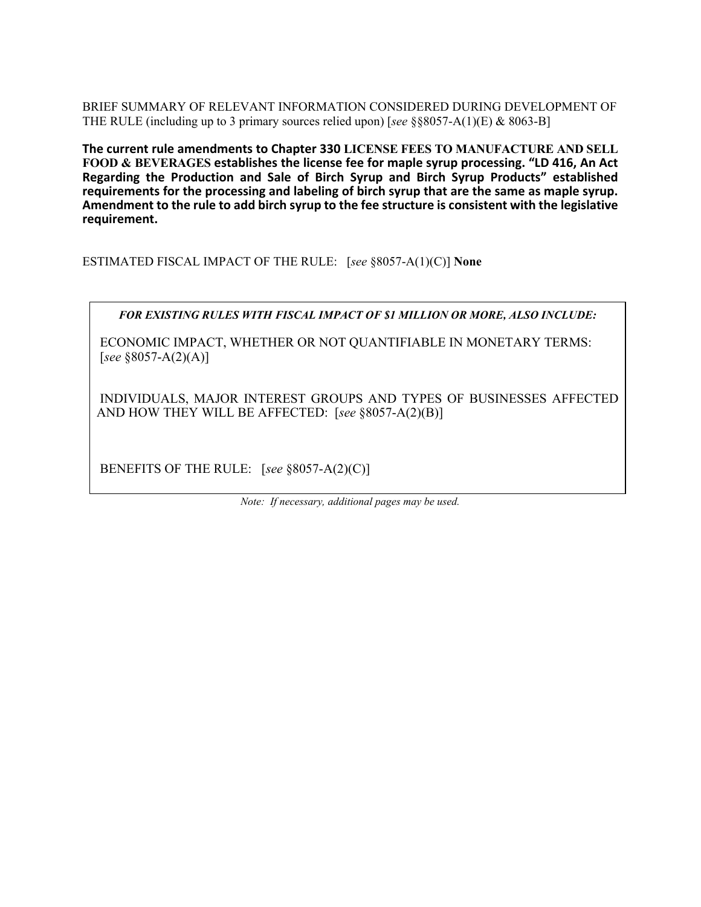BRIEF SUMMARY OF RELEVANT INFORMATION CONSIDERED DURING DEVELOPMENT OF THE RULE (including up to 3 primary sources relied upon) [*see* §§8057-A(1)(E) & 8063-B]

**The current rule amendments to Chapter 330 LICENSE FEES TO MANUFACTURE AND SELL FOOD & BEVERAGES establishes the license fee for maple syrup processing. "LD 416, An Act Regarding the Production and Sale of Birch Syrup and Birch Syrup Products" established requirements for the processing and labeling of birch syrup that are the same as maple syrup. Amendment to the rule to add birch syrup to the fee structure is consistent with the legislative requirement.** 

ESTIMATED FISCAL IMPACT OF THE RULE: [*see* §8057-A(1)(C)] **None**

*FOR EXISTING RULES WITH FISCAL IMPACT OF \$1 MILLION OR MORE, ALSO INCLUDE:*

ECONOMIC IMPACT, WHETHER OR NOT QUANTIFIABLE IN MONETARY TERMS: [*see* §8057-A(2)(A)]

INDIVIDUALS, MAJOR INTEREST GROUPS AND TYPES OF BUSINESSES AFFECTED AND HOW THEY WILL BE AFFECTED: [*see* §8057-A(2)(B)]

BENEFITS OF THE RULE: [*see* §8057-A(2)(C)]

*Note: If necessary, additional pages may be used.*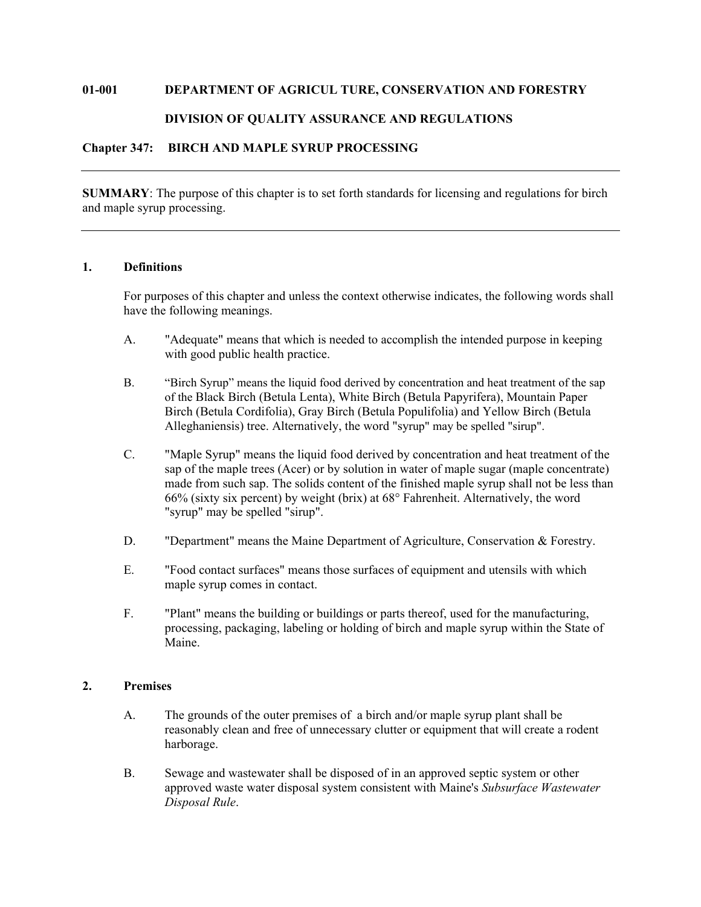#### **01-001 DEPARTMENT OF AGRICUL TURE, CONSERVATION AND FORESTRY**

#### **DIVISION OF QUALITY ASSURANCE AND REGULATIONS**

## **Chapter 347: BIRCH AND MAPLE SYRUP PROCESSING**

**SUMMARY**: The purpose of this chapter is to set forth standards for licensing and regulations for birch and maple syrup processing.

#### **1. Definitions**

For purposes of this chapter and unless the context otherwise indicates, the following words shall have the following meanings.

- A. "Adequate" means that which is needed to accomplish the intended purpose in keeping with good public health practice.
- B. "Birch Syrup" means the liquid food derived by concentration and heat treatment of the sap of the Black Birch (Betula Lenta), White Birch (Betula Papyrifera), Mountain Paper Birch (Betula Cordifolia), Gray Birch (Betula Populifolia) and Yellow Birch (Betula Alleghaniensis) tree. Alternatively, the word "syrup" may be spelled "sirup".
- C. "Maple Syrup" means the liquid food derived by concentration and heat treatment of the sap of the maple trees (Acer) or by solution in water of maple sugar (maple concentrate) made from such sap. The solids content of the finished maple syrup shall not be less than 66% (sixty six percent) by weight (brix) at 68° Fahrenheit. Alternatively, the word "syrup" may be spelled "sirup".
- D. "Department" means the Maine Department of Agriculture, Conservation & Forestry.
- E. "Food contact surfaces" means those surfaces of equipment and utensils with which maple syrup comes in contact.
- F. "Plant" means the building or buildings or parts thereof, used for the manufacturing, processing, packaging, labeling or holding of birch and maple syrup within the State of Maine.

#### **2. Premises**

- A. The grounds of the outer premises of a birch and/or maple syrup plant shall be reasonably clean and free of unnecessary clutter or equipment that will create a rodent harborage.
- B. Sewage and wastewater shall be disposed of in an approved septic system or other approved waste water disposal system consistent with Maine's *Subsurface Wastewater Disposal Rule*.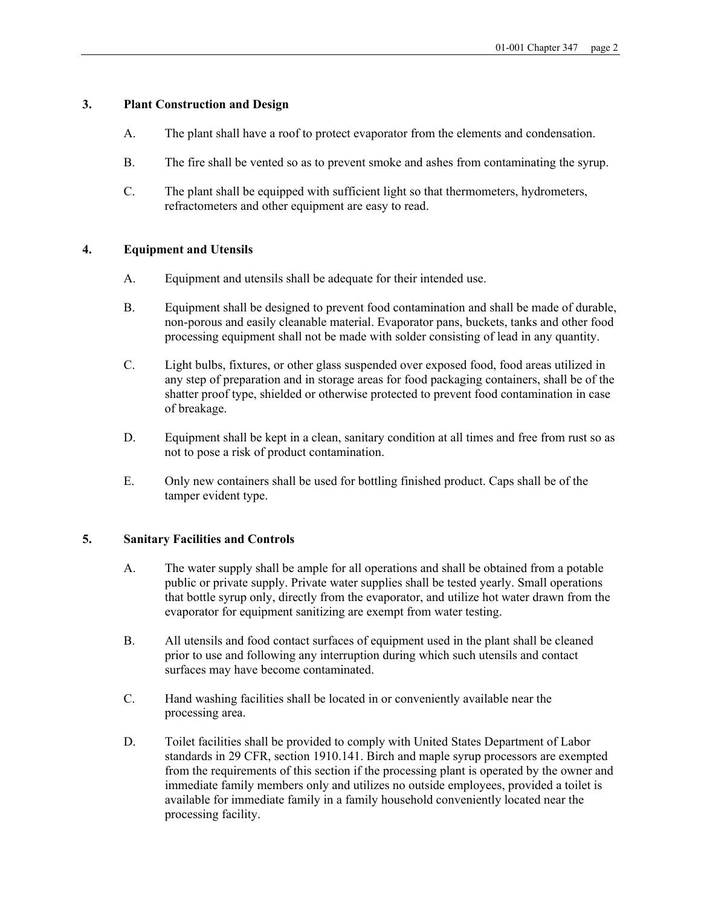#### **3. Plant Construction and Design**

- A. The plant shall have a roof to protect evaporator from the elements and condensation.
- B. The fire shall be vented so as to prevent smoke and ashes from contaminating the syrup.
- C. The plant shall be equipped with sufficient light so that thermometers, hydrometers, refractometers and other equipment are easy to read.

#### **4. Equipment and Utensils**

- A. Equipment and utensils shall be adequate for their intended use.
- B. Equipment shall be designed to prevent food contamination and shall be made of durable, non-porous and easily cleanable material. Evaporator pans, buckets, tanks and other food processing equipment shall not be made with solder consisting of lead in any quantity.
- C. Light bulbs, fixtures, or other glass suspended over exposed food, food areas utilized in any step of preparation and in storage areas for food packaging containers, shall be of the shatter proof type, shielded or otherwise protected to prevent food contamination in case of breakage.
- D. Equipment shall be kept in a clean, sanitary condition at all times and free from rust so as not to pose a risk of product contamination.
- E. Only new containers shall be used for bottling finished product. Caps shall be of the tamper evident type.

#### **5. Sanitary Facilities and Controls**

- A. The water supply shall be ample for all operations and shall be obtained from a potable public or private supply. Private water supplies shall be tested yearly. Small operations that bottle syrup only, directly from the evaporator, and utilize hot water drawn from the evaporator for equipment sanitizing are exempt from water testing.
- B. All utensils and food contact surfaces of equipment used in the plant shall be cleaned prior to use and following any interruption during which such utensils and contact surfaces may have become contaminated.
- C. Hand washing facilities shall be located in or conveniently available near the processing area.
- D. Toilet facilities shall be provided to comply with United States Department of Labor standards in 29 CFR, section 1910.141. Birch and maple syrup processors are exempted from the requirements of this section if the processing plant is operated by the owner and immediate family members only and utilizes no outside employees, provided a toilet is available for immediate family in a family household conveniently located near the processing facility.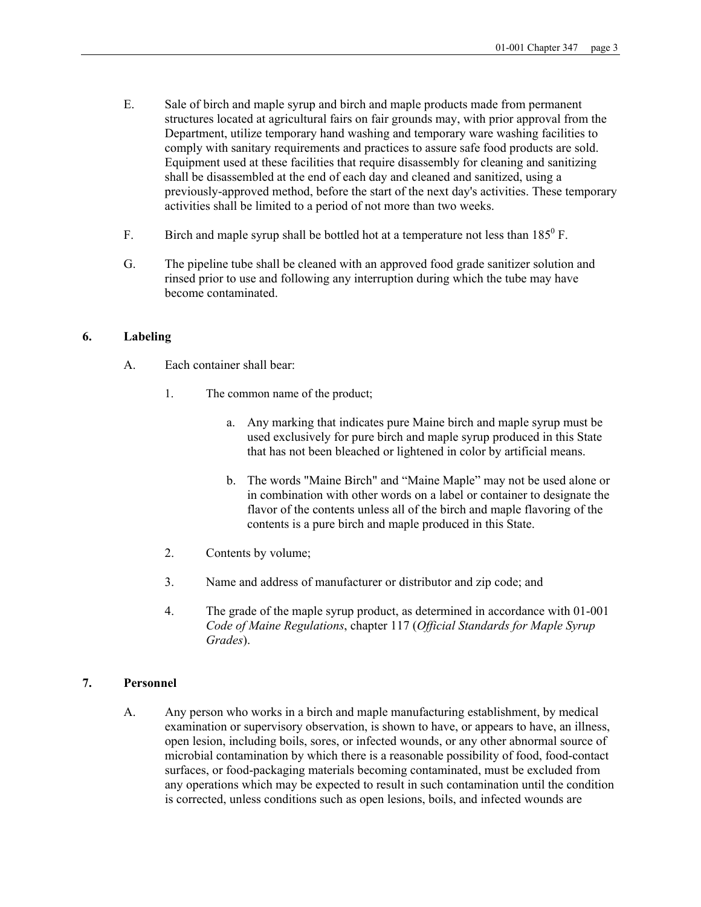- E. Sale of birch and maple syrup and birch and maple products made from permanent structures located at agricultural fairs on fair grounds may, with prior approval from the Department, utilize temporary hand washing and temporary ware washing facilities to comply with sanitary requirements and practices to assure safe food products are sold. Equipment used at these facilities that require disassembly for cleaning and sanitizing shall be disassembled at the end of each day and cleaned and sanitized, using a previously-approved method, before the start of the next day's activities. These temporary activities shall be limited to a period of not more than two weeks.
- F. Birch and maple syrup shall be bottled hot at a temperature not less than  $185^{\circ}$  F.
- G. The pipeline tube shall be cleaned with an approved food grade sanitizer solution and rinsed prior to use and following any interruption during which the tube may have become contaminated.

#### **6. Labeling**

- A. Each container shall bear:
	- 1. The common name of the product;
		- a. Any marking that indicates pure Maine birch and maple syrup must be used exclusively for pure birch and maple syrup produced in this State that has not been bleached or lightened in color by artificial means.
		- b. The words "Maine Birch" and "Maine Maple" may not be used alone or in combination with other words on a label or container to designate the flavor of the contents unless all of the birch and maple flavoring of the contents is a pure birch and maple produced in this State.
	- 2. Contents by volume;
	- 3. Name and address of manufacturer or distributor and zip code; and
	- 4. The grade of the maple syrup product, as determined in accordance with 01-001 *Code of Maine Regulations*, chapter 117 (*Official Standards for Maple Syrup Grades*).

#### **7. Personnel**

A. Any person who works in a birch and maple manufacturing establishment, by medical examination or supervisory observation, is shown to have, or appears to have, an illness, open lesion, including boils, sores, or infected wounds, or any other abnormal source of microbial contamination by which there is a reasonable possibility of food, food-contact surfaces, or food-packaging materials becoming contaminated, must be excluded from any operations which may be expected to result in such contamination until the condition is corrected, unless conditions such as open lesions, boils, and infected wounds are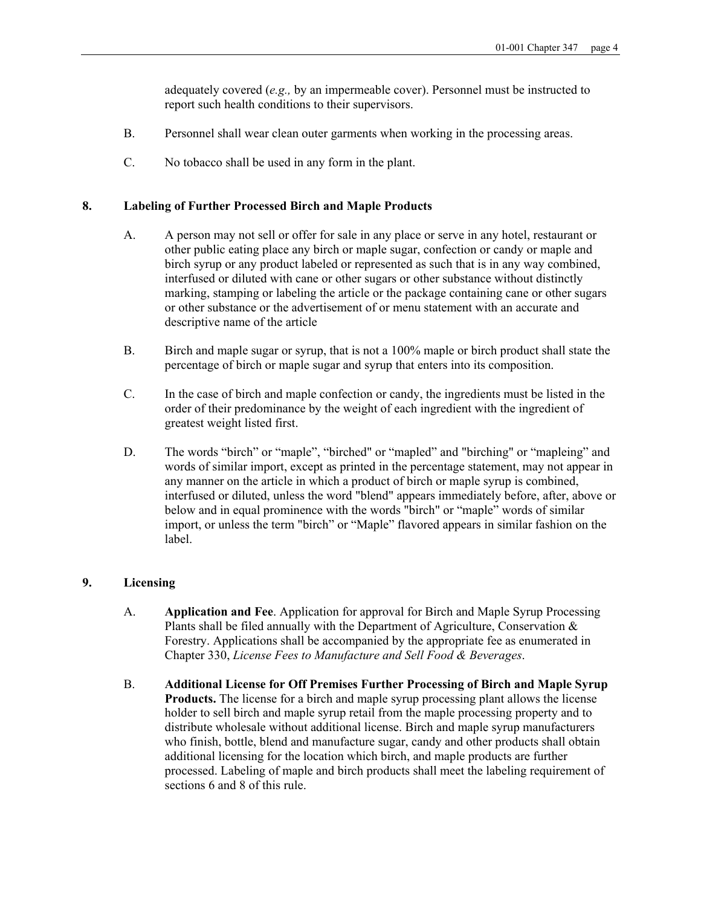adequately covered (*e.g.,* by an impermeable cover). Personnel must be instructed to report such health conditions to their supervisors.

- B. Personnel shall wear clean outer garments when working in the processing areas.
- C. No tobacco shall be used in any form in the plant.

#### **8. Labeling of Further Processed Birch and Maple Products**

- A. A person may not sell or offer for sale in any place or serve in any hotel, restaurant or other public eating place any birch or maple sugar, confection or candy or maple and birch syrup or any product labeled or represented as such that is in any way combined, interfused or diluted with cane or other sugars or other substance without distinctly marking, stamping or labeling the article or the package containing cane or other sugars or other substance or the advertisement of or menu statement with an accurate and descriptive name of the article
- B. Birch and maple sugar or syrup, that is not a 100% maple or birch product shall state the percentage of birch or maple sugar and syrup that enters into its composition.
- C. In the case of birch and maple confection or candy, the ingredients must be listed in the order of their predominance by the weight of each ingredient with the ingredient of greatest weight listed first.
- D. The words "birch" or "maple", "birched" or "mapled" and "birching" or "mapleing" and words of similar import, except as printed in the percentage statement, may not appear in any manner on the article in which a product of birch or maple syrup is combined, interfused or diluted, unless the word "blend" appears immediately before, after, above or below and in equal prominence with the words "birch" or "maple" words of similar import, or unless the term "birch" or "Maple" flavored appears in similar fashion on the label.

#### **9. Licensing**

- A. **Application and Fee**. Application for approval for Birch and Maple Syrup Processing Plants shall be filed annually with the Department of Agriculture, Conservation & Forestry. Applications shall be accompanied by the appropriate fee as enumerated in Chapter 330, *License Fees to Manufacture and Sell Food & Beverages*.
- B. **Additional License for Off Premises Further Processing of Birch and Maple Syrup Products.** The license for a birch and maple syrup processing plant allows the license holder to sell birch and maple syrup retail from the maple processing property and to distribute wholesale without additional license. Birch and maple syrup manufacturers who finish, bottle, blend and manufacture sugar, candy and other products shall obtain additional licensing for the location which birch, and maple products are further processed. Labeling of maple and birch products shall meet the labeling requirement of sections 6 and 8 of this rule.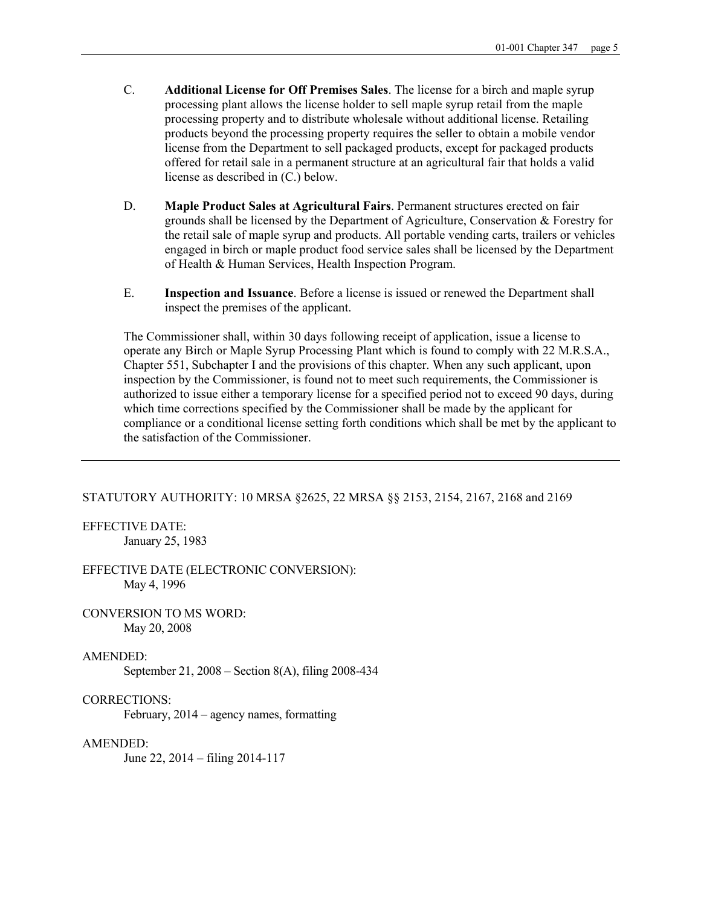- C. **Additional License for Off Premises Sales**. The license for a birch and maple syrup processing plant allows the license holder to sell maple syrup retail from the maple processing property and to distribute wholesale without additional license. Retailing products beyond the processing property requires the seller to obtain a mobile vendor license from the Department to sell packaged products, except for packaged products offered for retail sale in a permanent structure at an agricultural fair that holds a valid license as described in (C.) below.
- D. **Maple Product Sales at Agricultural Fairs**. Permanent structures erected on fair grounds shall be licensed by the Department of Agriculture, Conservation & Forestry for the retail sale of maple syrup and products. All portable vending carts, trailers or vehicles engaged in birch or maple product food service sales shall be licensed by the Department of Health & Human Services, Health Inspection Program.
- E. **Inspection and Issuance**. Before a license is issued or renewed the Department shall inspect the premises of the applicant.

The Commissioner shall, within 30 days following receipt of application, issue a license to operate any Birch or Maple Syrup Processing Plant which is found to comply with 22 M.R.S.A., Chapter 551, Subchapter I and the provisions of this chapter. When any such applicant, upon inspection by the Commissioner, is found not to meet such requirements, the Commissioner is authorized to issue either a temporary license for a specified period not to exceed 90 days, during which time corrections specified by the Commissioner shall be made by the applicant for compliance or a conditional license setting forth conditions which shall be met by the applicant to the satisfaction of the Commissioner.

#### STATUTORY AUTHORITY: 10 MRSA §2625, 22 MRSA §§ 2153, 2154, 2167, 2168 and 2169

EFFECTIVE DATE: January 25, 1983

EFFECTIVE DATE (ELECTRONIC CONVERSION): May 4, 1996

CONVERSION TO MS WORD: May 20, 2008

#### AMENDED:

September 21, 2008 – Section 8(A), filing 2008-434

#### CORRECTIONS:

February, 2014 – agency names, formatting

#### AMENDED:

June 22, 2014 – filing 2014-117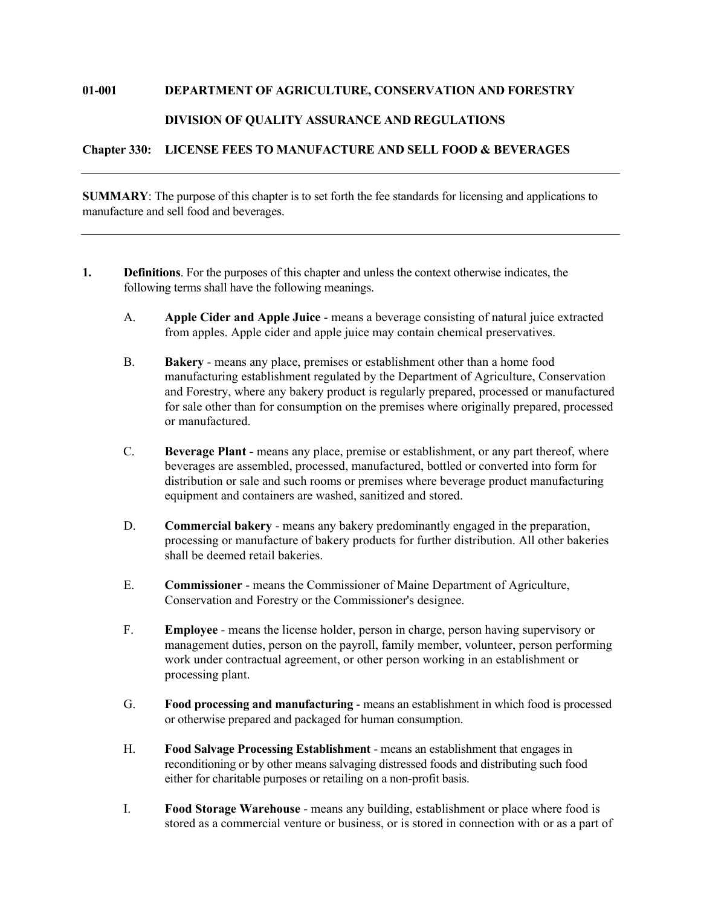#### **01-001 DEPARTMENT OF AGRICULTURE, CONSERVATION AND FORESTRY**

#### **DIVISION OF QUALITY ASSURANCE AND REGULATIONS**

**Chapter 330: LICENSE FEES TO MANUFACTURE AND SELL FOOD & BEVERAGES**

**SUMMARY**: The purpose of this chapter is to set forth the fee standards for licensing and applications to manufacture and sell food and beverages.

- **1. Definitions**. For the purposes of this chapter and unless the context otherwise indicates, the following terms shall have the following meanings.
	- A. **Apple Cider and Apple Juice** means a beverage consisting of natural juice extracted from apples. Apple cider and apple juice may contain chemical preservatives.
	- B. **Bakery** means any place, premises or establishment other than a home food manufacturing establishment regulated by the Department of Agriculture, Conservation and Forestry, where any bakery product is regularly prepared, processed or manufactured for sale other than for consumption on the premises where originally prepared, processed or manufactured.
	- C. **Beverage Plant** means any place, premise or establishment, or any part thereof, where beverages are assembled, processed, manufactured, bottled or converted into form for distribution or sale and such rooms or premises where beverage product manufacturing equipment and containers are washed, sanitized and stored.
	- D. **Commercial bakery** means any bakery predominantly engaged in the preparation, processing or manufacture of bakery products for further distribution. All other bakeries shall be deemed retail bakeries.
	- E. **Commissioner** means the Commissioner of Maine Department of Agriculture, Conservation and Forestry or the Commissioner's designee.
	- F. **Employee** means the license holder, person in charge, person having supervisory or management duties, person on the payroll, family member, volunteer, person performing work under contractual agreement, or other person working in an establishment or processing plant.
	- G. **Food processing and manufacturing** means an establishment in which food is processed or otherwise prepared and packaged for human consumption.
	- H. **Food Salvage Processing Establishment** means an establishment that engages in reconditioning or by other means salvaging distressed foods and distributing such food either for charitable purposes or retailing on a non-profit basis.
	- I. **Food Storage Warehouse** means any building, establishment or place where food is stored as a commercial venture or business, or is stored in connection with or as a part of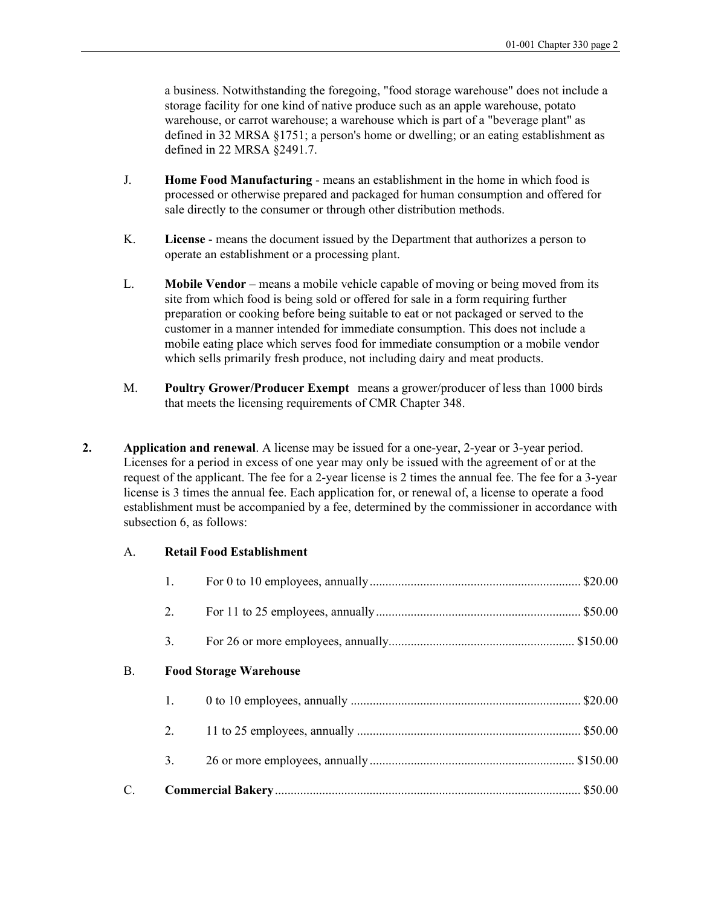a business. Notwithstanding the foregoing, "food storage warehouse" does not include a storage facility for one kind of native produce such as an apple warehouse, potato warehouse, or carrot warehouse; a warehouse which is part of a "beverage plant" as defined in 32 MRSA §1751; a person's home or dwelling; or an eating establishment as defined in 22 MRSA §2491.7.

- J. **Home Food Manufacturing** means an establishment in the home in which food is processed or otherwise prepared and packaged for human consumption and offered for sale directly to the consumer or through other distribution methods.
- K. **License** means the document issued by the Department that authorizes a person to operate an establishment or a processing plant.
- L. **Mobile Vendor** means a mobile vehicle capable of moving or being moved from its site from which food is being sold or offered for sale in a form requiring further preparation or cooking before being suitable to eat or not packaged or served to the customer in a manner intended for immediate consumption. This does not include a mobile eating place which serves food for immediate consumption or a mobile vendor which sells primarily fresh produce, not including dairy and meat products.
- M. **Poultry Grower/Producer Exempt** means a grower/producer of less than 1000 birds that meets the licensing requirements of CMR Chapter 348.
- **2. Application and renewal**. A license may be issued for a one-year, 2-year or 3-year period. Licenses for a period in excess of one year may only be issued with the agreement of or at the request of the applicant. The fee for a 2-year license is 2 times the annual fee. The fee for a 3-year license is 3 times the annual fee. Each application for, or renewal of, a license to operate a food establishment must be accompanied by a fee, determined by the commissioner in accordance with subsection 6, as follows:

#### A. **Retail Food Establishment**

|    | 1. |                               |  |  |
|----|----|-------------------------------|--|--|
|    | 2. |                               |  |  |
|    | 3. |                               |  |  |
| В. |    | <b>Food Storage Warehouse</b> |  |  |
|    | 1. |                               |  |  |
|    | 2. |                               |  |  |
|    | 3. |                               |  |  |
| C. |    |                               |  |  |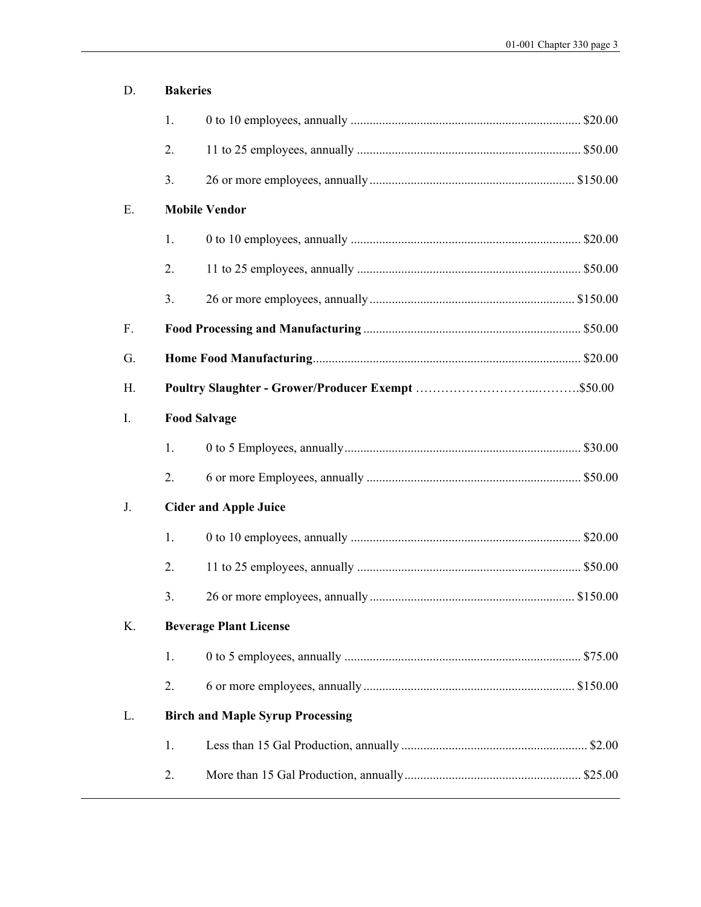| <b>Bakeries</b>                         |  |  |
|-----------------------------------------|--|--|
| 1.                                      |  |  |
| 2.                                      |  |  |
| 3.                                      |  |  |
| <b>Mobile Vendor</b>                    |  |  |
| 1.                                      |  |  |
| 2.                                      |  |  |
| 3.                                      |  |  |
|                                         |  |  |
|                                         |  |  |
|                                         |  |  |
| <b>Food Salvage</b>                     |  |  |
| 1.                                      |  |  |
| 2.                                      |  |  |
| <b>Cider and Apple Juice</b>            |  |  |
| 1.                                      |  |  |
| 2.                                      |  |  |
| 3.                                      |  |  |
| Κ.<br><b>Beverage Plant License</b>     |  |  |
| 1.                                      |  |  |
| 2.                                      |  |  |
| <b>Birch and Maple Syrup Processing</b> |  |  |
| 1.                                      |  |  |
| 2.                                      |  |  |
|                                         |  |  |